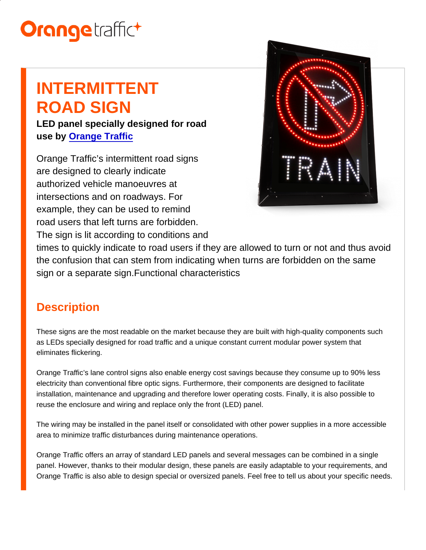# INTERMITTENT ROAD SIGN

LED panel specially designed for road use by [Orange Traffic](/en/partners/)

Orange Traffic's intermittent road signs are designed to clearly indicate authorized vehicle manoeuvres at intersections and on roadways. For example, they can be used to remind road users that left turns are forbidden. The sign is lit according to conditions and

times to quickly indicate to road users if they are allowed to turn or not and thus avoid the confusion that can stem from indicating when turns are forbidden on the same sign or a separate sign.Functional characteristics

## **Description**

These signs are the most readable on the market because they are built with high-quality components such as LEDs specially designed for road traffic and a unique constant current modular power system that eliminates flickering.

Orange Traffic's lane control signs also enable energy cost savings because they consume up to 90% less electricity than conventional fibre optic signs. Furthermore, their components are designed to facilitate installation, maintenance and upgrading and therefore lower operating costs. Finally, it is also possible to reuse the enclosure and wiring and replace only the front (LED) panel.

The wiring may be installed in the panel itself or consolidated with other power supplies in a more accessible area to minimize traffic disturbances during maintenance operations.

Orange Traffic offers an array of standard LED panels and several messages can be combined in a single panel. However, thanks to their modular design, these panels are easily adaptable to your requirements, and Orange Traffic is also able to design special or oversized panels. Feel free to tell us about your specific needs.